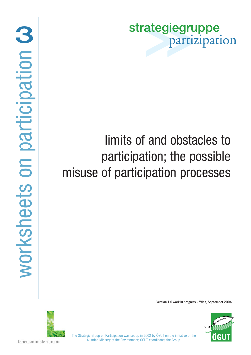strategiegruppe partizipation

# limits of and obstacles to participation; the possible misuse of participation processes

Version 1.0 work in progress – Wien, September 2004



ÖGU

The Strategic Group on Participation was set up in 2002 by ÖGUT on the initiative of the Austrian Ministry of the Environment; ÖGUT coordinates the Group.

lebensministerium.at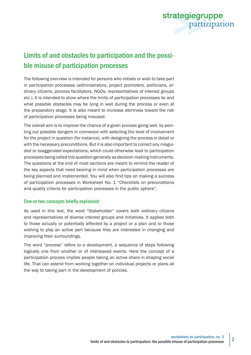

# Limits of and obstacles to participation and the possible misuse of participation processes

The following overview is intended for persons who initiate or wish to take part in participation processes (administrators, project promoters, politicians, ordinary citizens, process facilitators, NGOs, representatives of interest groups etc.). It is intended to show where the limits of participation processes lie and what possible obstacles may be lying in wait during the process or even at the preparatory stage. It is also meant to increase alertness toward the risk of participation processes being misused.

The overall aim is to improve the chance of a given process going well, by pointing out possible dangers in connexion with selecting the level of involvement for the project in question (for instance), with designing the process in detail or with the necessary preconditions. But it is also important to correct any misguided or exaggerated expectations, which could otherwise lead to participation processes being called into question generally as decision-making instruments. The questions at the end of most sections are meant to remind the reader of the key aspects that need bearing in mind when participation processes are being planned and implemented. You will also find tips on making a success of participation processes in Worksheet No. 1 "Checklists on preconditions and quality criteria for participation processes in the public sphere".

## One or two concepts briefly explained:

As used in this text, the word "Stakeholder" covers both ordinary citizens and representatives of diverse interest groups and initiatives. It applies both to those actually or potentially affected by a project or a plan and to those wishing to play an active part because they are interested in changing and improving their surroundings.

The word "process" refers to a development, a sequence of steps following logically one from another or of interleaved events. Here the concept of a participation process implies people taking an active share in shaping social life. That can extend from working together on individual projects or plans all the way to taking part in the development of policies.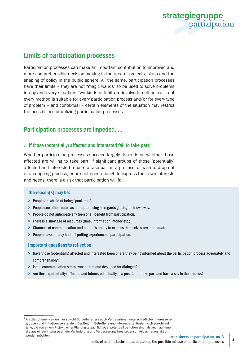

# Limits of participation processes

Participation processes can make an important contribution to improved and more comprehensible decision-making in the area of projects, plans and the shaping of policy in the public sphere. All the same, participation processes have their limits – they are not "magic wands" to be used to solve problems in any and every situation. Two kinds of limit are involved: methodical – not every method is suitable for every participation process and/or for every type of problem – and contextual – certain elements of the situation may restrict the possibilities of utilizing participation processes.

## Participation processes are impeded, ...

#### ... if those (potentially) affected and interested fail to take part:

Whether participation processes succeed largely depends on whether those affected are willing to take part. If significant groups of those (potentially) affected and interested refuse to take part in a process, or wish to drop out of an ongoing process, or are not open enough to express their own interests and needs, there is a risk that participation will fail.

#### The reason(s) may be:

- > People are afraid of being "pocketed".
- > People see other routes as more promising as regards getting their own way.
- > People do not anticipate any (personal) benefit from participation.
- > There is a shortage of resources (time, information, money etc.).
- > Channels of communication and people's ability to express themselves are inadequate.
- > People have already had off-putting experience of participation.

#### Important questions to reflect on:

- > Have those (potentially) affected and interested been or are they being informed about the participation process adequately and comprehensibly?
- > Is the communication setup transparent and designed for dialogue?
- > Are those (potentially) affected and interested actually in a position to take part and have a say in the process?

 $1$  Als , Betroffene' werden hier sowohl BürgerInnen als auch VertreterInnen unterschiedlicher Interessensgruppen und Initiativen verstanden. Der Begriff 'Betroffene und Interessierte' bezieht sich sowohl auf jene, die von einem Projekt, einer Planung tatsächlich oder potenziell betroffen sind, als auch auf jene, die aus einem Interesse an der Veränderung und Verbesserung ihres Lebensumfeldes heraus aktiv werden möchten.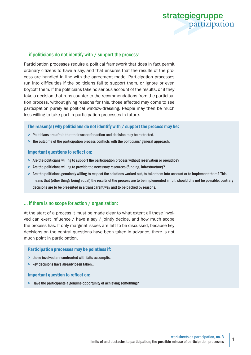

#### ... if politicians do not identify with / support the process:

Participation processes require a political framework that does in fact permit ordinary citizens to have a say, and that ensures that the results of the process are handled in line with the agreement made. Participation processes run into difficulties if the politicians fail to support them, or ignore or even boycott them. If the politicians take no serious account of the results, or if they take a decision that runs counter to the recommendations from the participation process, without giving reasons for this, those affected may come to see participation purely as political window-dressing. People may then be much less willing to take part in participation processes in future.

#### The reason(s) why politicians do not identify with / support the process may be:

- > Politicians are afraid that their scope for action and decision may be restricted.
- > The outcome of the participation process conflicts with the politicians' general approach.

#### Important questions to reflect on:

- > Are the politicians willing to support the participation process without reservation or prejudice?
- > Are the politicians willing to provide the necessary resources (funding, infrastructure)?
- > Are the politicians genuinely willing to respect the solutions worked out, to take them into account or to implement them? This means that (other things being equal) the results of the process are to be implemented in full: should this not be possible, contrary decisions are to be presented in a transparent way and to be backed by reasons.

#### ... if there is no scope for action / organization:

At the start of a process it must be made clear to what extent all those involved can exert influence / have a say / jointly decide, and how much scope the process has. If only marginal issues are left to be discussed, because key decisions on the central questions have been taken in advance, there is not much point in participation.

#### Participation processes may be pointless if:

- > those involved are confronted with faits accomplis.
- > key decisions have already been taken..

#### Important question to reflect on:

> Have the participants a genuine opportunity of achieving something?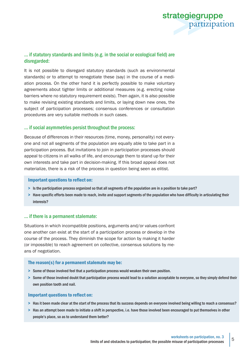

## ... if statutory standards and limits (e.g. in the social or ecological field) are disregarded:

It is not possible to disregard statutory standards (such as environmental standards) or to attempt to renegotiate these (say) in the course of a mediation process. On the other hand it is perfectly possible to make voluntary agreements about tighter limits or additional measures (e.g. erecting noise barriers where no statutory requirement exists). Then again, it is also possible to make revising existing standards and limits, or laying down new ones, the subject of participation processes; consensus conferences or consultation procedures are very suitable methods in such cases.

#### ... if social asymmetries persist throughout the process:

Because of differences in their resources (time, money, personality) not everyone and not all segments of the population are equally able to take part in a participation process. But invitations to join in participation processes should appeal to citizens in all walks of life, and encourage them to stand up for their own interests and take part in decision-making. If this broad appeal does not materialize, there is a risk of the process in question being seen as elitist.

#### Important questions to reflect on:

- > Is the participation process organized so that all segments of the population are in a position to take part?
- > Have specific efforts been made to reach, invite and support segments of the population who have difficulty in articulating their interests?

#### ... if there is a permanent stalemate:

Situations in which incompatible positions, arguments and/or values confront one another can exist at the start of a participation process or develop in the course of the process. They diminish the scope for action by making it harder (or impossible) to reach agreement on collective, consensus solutions by means of negotiation.

#### The reason(s) for a permanent stalemate may be:

- > Some of those involved feel that a participation process would weaken their own position.
- > Some of those involved doubt that participation process would lead to a solution acceptable to everyone, so they simply defend their own position tooth and nail.

- > Has it been made clear at the start of the process that its success depends on everyone involved being willing to reach a consensus?
- > Has an attempt been made to initiate a shift in perspective, i.e. have those involved been encouraged to put themselves in other people's place, so as to understand them better?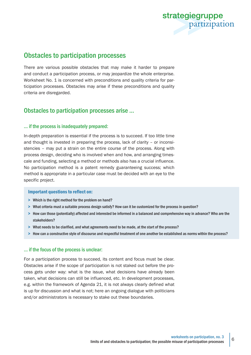

## Obstacles to participation processes

There are various possible obstacles that may make it harder to prepare and conduct a participation process, or may jeopardize the whole enterprise. Worksheet No. 1 is concerned with preconditions and quality criteria for participation processes. Obstacles may arise if these preconditions and quality criteria are disregarded.

## Obstacles to participation processes arise ...

#### ... if the process is inadequately prepared:

In-depth preparation is essential if the process is to succeed. If too little time and thought is invested in preparing the process, lack of clarity – or inconsistencies – may put a strain on the entire course of the process. Along with process design, deciding who is involved when and how, and arranging timescale and funding, selecting a method or methods also has a crucial influence. No participation method is a patent remedy guaranteeing success; which method is appropriate in a particular case must be decided with an eye to the specific project.

#### Important questions to reflect on:

- > Which is the right method for the problem on hand?
- > What criteria must a suitable process design satisfy? How can it be customized for the process in question?
- > How can those (potentially) affected and interested be informed in a balanced and comprehensive way in advance? Who are the stakeholders?
- > What needs to be clarified, and what agreements need to be made, at the start of the process?
- > How can a constructive style of discourse and respectful treatment of one another be established as norms within the process?

## ... if the focus of the process is unclear:

For a participation process to succeed, its content and focus must be clear. Obstacles arise if the scope of participation is not staked out before the process gets under way: what is the issue, what decisions have already been taken, what decisions can still be influenced, etc. In development processes, e.g. within the framework of Agenda 21, it is not always clearly defined what is up for discussion and what is not; here an ongoing dialogue with politicians and/or administrators is necessary to stake out these boundaries.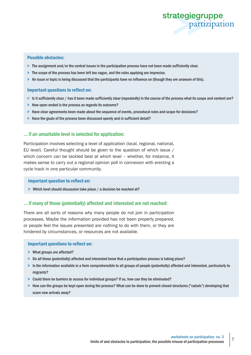

#### Possible obstacles:

- > The assignment and/or the central issues in the participation process have not been made sufficiently clear.
- > The scope of the process has been left too vague, and the rules applying are imprecise.
- > An issue or topic is being discussed that the participants have no influence on (though they are unaware of this).

#### Important questions to reflect on:

- > Is it sufficiently clear / has it been made sufficiently clear (repeatedly) in the course of the process what its scope and content are?
- > How open-ended is the process as regards its outcome?
- > Have clear agreements been made about the sequence of events, procedural rules and scope for decisions?
- > Have the goals of the process been discussed openly and in sufficient detail?

#### ... if an unsuitable level is selected for application:

Participation involves selecting a level of application (local, regional, national, EU level). Careful thought should be given to the question of which issue / which concern can be tackled best at which level – whether, for instance, it makes sense to carry out a regional opinion poll in connexion with erecting a cycle track in one particular community.

#### Important question to reflect on:

> Which level should discussion take place / a decision be reached at?

#### ... if many of those (potentially) affected and interested are not reached:

There are all sorts of reasons why many people do not join in participation processes. Maybe the information provided has not been properly prepared, or people feel the issues presented are nothing to do with them, or they are hindered by circumstances, or resources are not available.

- > What groups are affected?
- > Do all those (potentially) affected and interested know that a participation process is taking place?
- > Is the information available in a form comprehensible to all groups of people (potentially) affected and interested, particularly to migrants?
- > Could there be barriers to access for individual groups? If so, how can they be eliminated?
- > How can the groups be kept open during the process? What can be done to prevent closed structures ("cabals") developing that scare new arrivals away?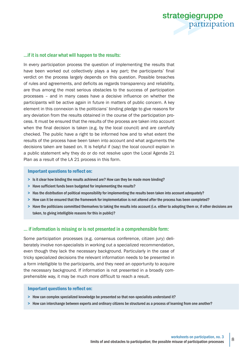

#### ...if it is not clear what will happen to the results:

In every participation process the question of implementing the results that have been worked out collectively plays a key part; the participants' final verdict on the process largely depends on this question. Possible breaches of rules and agreements, and deficits as regards transparency and reliability, are thus among the most serious obstacles to the success of participation processes – and in many cases have a decisive influence on whether the participants will be active again in future in matters of public concern. A key element in this connexion is the politicians' binding pledge to give reasons for any deviation from the results obtained in the course of the participation process. It must be ensured that the results of the process are taken into account when the final decision is taken (e.g. by the local council) and are carefully checked. The public have a right to be informed how and to what extent the results of the process have been taken into account and what arguments the decisions taken are based on. It is helpful if (say) the local council explain in a public statement why they do or do not resolve upon the Local Agenda 21 Plan as a result of the LA 21 process in this form.

#### Important questions to reflect on:

- > Is it clear how binding the results achieved are? How can they be made more binding?
- > Have sufficient funds been budgeted for implementing the results?
- > Has the distribution of political responsibility for implementing the results been taken into account adequately?
- > How can it be ensured that the framework for implementation is not altered after the process has been completed?
- > Have the politicians committed themselves to taking the results into account (i.e. either to adopting them or, if other decisions are taken, to giving intelligible reasons for this in public)?

#### ... if information is missing or is not presented in a comprehensible form:

Some participation processes (e.g. consensus conference, citizen jury) deliberately involve non-specialists in working out a specialized recommendation, even though they lack the necessary background. Particularly in the case of tricky specialized decisions the relevant information needs to be presented in a form intelligible to the participants, and they need an opportunity to acquire the necessary background. If information is not presented in a broadly comprehensible way, it may be much more difficult to reach a result.

- > How can complex specialized knowledge be presented so that non-specialists understand it?
- > How can interchange between experts and ordinary citizens be structured as a process of learning from one another?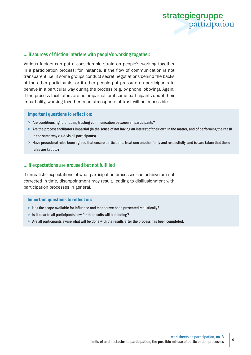

#### ... if sources of friction interfere with people's working together:

Various factors can put a considerable strain on people's working together in a participation process: for instance, if the flow of communication is not transparent, i.e. if some groups conduct secret negotiations behind the backs of the other participants, or if other people put pressure on participants to behave in a particular way during the process (e.g. by phone lobbying). Again, if the process facilitators are not impartial, or if some participants doubt their impartiality, working together in an atmosphere of trust will be impossible

#### Important questions to reflect on:

- > Are conditions right for open, trusting communication between all participants?
- > Are the process facilitators impartial (in the sense of not having an interest of their own in the matter, and of performing their task in the same way vis-à-vis all participants).
- > Have procedural rules been agreed that ensure participants treat one another fairly and respectfully, and is care taken that these rules are kept to?

#### ... if expectations are aroused but not fulfilled

If unrealistic expectations of what participation processes can achieve are not corrected in time, disappointment may result, leading to disillusionment with participation processes in general.

- > Has the scope available for influence and manoeuvre been presented realistically?
- > Is it clear to all participants how far the results will be binding?
- > Are all participants aware what will be done with the results after the process has been completed.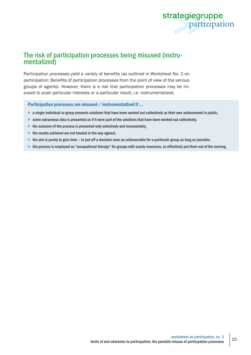

## The risk of participation processes being misused (instrumentalized)

Participation processes yield a variety of benefits (as outlined in Worksheet No. 2 on participation: Benefits of participation processes from the point of view of the various groups of agents). However, there is a risk that participation processes may be misused to push particular interests or a particular result, i.e. instrumentalized.

Participation processes are misused / instrumentalized if ...

- > a single individual or group presents solutions that have been worked out collectively as their own achievement in public,
- > some extraneous idea is presented as if it were part of the solutions that have been worked out collectively,
- > the outcome of the process is presented only selectively and incompletely,
- > the results achieved are not treated in the way agreed,
- > the aim is purely to gain time to put off a decision seen as unfavourable for a particular group as long as possible,
- > the process is employed as "occupational therapy" for groups with scanty resources, to effectively put them out of the running.